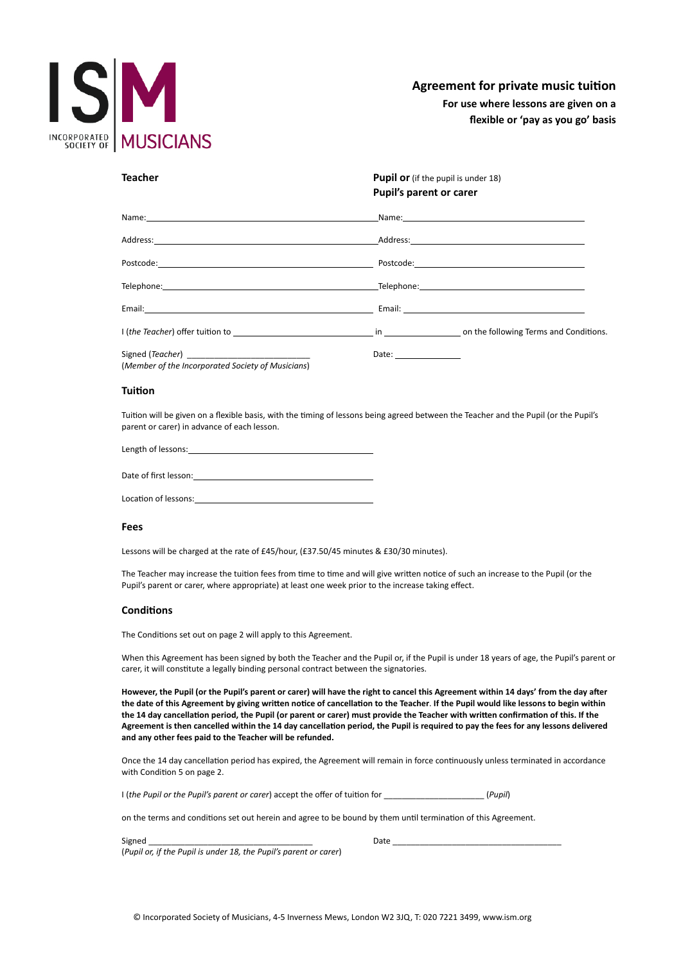

# **Agreement for private music tuition**

**For use where lessons are given on a flexible or 'pay as you go' basis**

| <b>Teacher</b>                                                                                                                                                                                                                | Pupil or (if the pupil is under 18)<br>Pupil's parent or carer                                                   |
|-------------------------------------------------------------------------------------------------------------------------------------------------------------------------------------------------------------------------------|------------------------------------------------------------------------------------------------------------------|
| Name: Name: Name: Name: Name: Name: Name: Name: Name: Name: Name: Name: Name: Name: Name: Name: Name: Name: Name: Name: Name: Name: Name: Name: Name: Name: Name: Name: Name: Name: Name: Name: Name: Name: Name: Name: Name: | Name: Name and the second contract of the second contract of the second contract of the second contract of the   |
|                                                                                                                                                                                                                               |                                                                                                                  |
|                                                                                                                                                                                                                               |                                                                                                                  |
|                                                                                                                                                                                                                               |                                                                                                                  |
|                                                                                                                                                                                                                               |                                                                                                                  |
|                                                                                                                                                                                                                               | I (the Teacher) offer tuition to the conditions. The conditions of the Teacher) offer tuition to the conditions. |
| (Member of the Incorporated Society of Musicians)                                                                                                                                                                             | Date: $\qquad \qquad$                                                                                            |

## **Tuition**

Tuition will be given on a flexible basis, with the timing of lessons being agreed between the Teacher and the Pupil (or the Pupil's parent or carer) in advance of each lesson.

Length of lessons:

Location of lessons:

## **Fees**

Lessons will be charged at the rate of £45/hour, (£37.50/45 minutes & £30/30 minutes).

The Teacher may increase the tuition fees from time to time and will give written notice of such an increase to the Pupil (or the Pupil's parent or carer, where appropriate) at least one week prior to the increase taking effect.

## **Conditions**

The Conditions set out on page 2 will apply to this Agreement.

When this Agreement has been signed by both the Teacher and the Pupil or, if the Pupil is under 18 years of age, the Pupil's parent or carer, it will constitute a legally binding personal contract between the signatories.

**However, the Pupil (or the Pupil's parent or carer) will have the right to cancel this Agreement within 14 days' from the day after the date of this Agreement by giving written notice of cancellation to the Teacher**. **If the Pupil would like lessons to begin within the 14 day cancellation period, the Pupil (or parent or carer) must provide the Teacher with written confirmation of this. If the Agreement is then cancelled within the 14 day cancellation period, the Pupil is required to pay the fees for any lessons delivered and any other fees paid to the Teacher will be refunded.**

Once the 14 day cancellation period has expired, the Agreement will remain in force continuously unless terminated in accordance with Condition 5 on page 2.

I (*the Pupil or the Pupil's parent or carer*) accept the offer of tuition for \_\_\_\_\_\_\_\_\_\_\_\_\_\_\_\_\_\_\_\_\_\_ (*Pupil*)

on the terms and conditions set out herein and agree to be bound by them until termination of this Agreement.

| $\sim$<br>Signer |          |
|------------------|----------|
| ____             | $J \sim$ |

(*Pupil or, if the Pupil is under 18, the Pupil's parent or carer*)